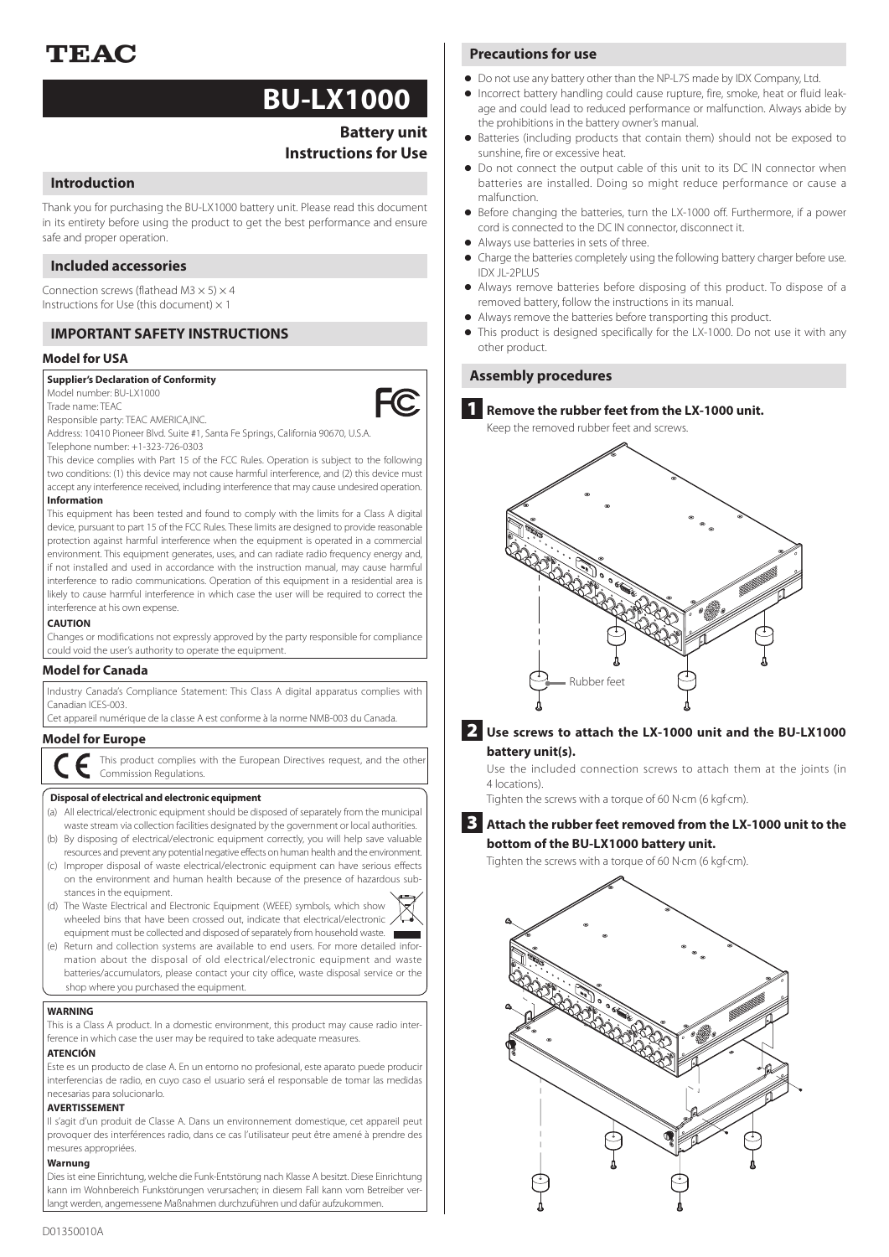# **BU-LX1000**

# **Battery unit Instructions for Use**

# **Introduction**

Thank you for purchasing the BU-LX1000 battery unit. Please read this document in its entirety before using the product to get the best performance and ensure safe and proper operation.

# **Included accessories**

Connection screws (flathead M3  $\times$  5)  $\times$  4 Instructions for Use (this document)  $\times$  1

# **IMPORTANT SAFETY INSTRUCTIONS**

### **Model for USA**

### **Supplier's Declaration of Conformity**

Model number: BU-LX1000 Trade name: TEAC

Responsible party: TEAC AMERICA,INC.

Address: 10410 Pioneer Blvd. Suite #1, Santa Fe Springs, California 90670, U.S.A. Telephone number: +1-323-726-0303

This device complies with Part 15 of the FCC Rules. Operation is subject to the following two conditions: (1) this device may not cause harmful interference, and (2) this device must accept any interference received, including interference that may cause undesired operation. **Information**

This equipment has been tested and found to comply with the limits for a Class A digital device, pursuant to part 15 of the FCC Rules. These limits are designed to provide reasonable protection against harmful interference when the equipment is operated in a commercial environment. This equipment generates, uses, and can radiate radio frequency energy and, if not installed and used in accordance with the instruction manual, may cause harmful interference to radio communications. Operation of this equipment in a residential area is likely to cause harmful interference in which case the user will be required to correct the interference at his own expense.

#### **CAUTION**

Changes or modifications not expressly approved by the party responsible for compliance could void the user's authority to operate the equipment.

### **Model for Canada**

Industry Canada's Compliance Statement: This Class A digital apparatus complies with Canadian ICES-003.

Cet appareil numérique de la classe A est conforme à la norme NMB-003 du Canada.

### **Model for Europe**

This product complies with the European Directives request, and the other Commission Regulations.

### **Disposal of electrical and electronic equipment**

- (a) All electrical/electronic equipment should be disposed of separately from the municipal waste stream via collection facilities designated by the government or local authorities. (b) By disposing of electrical/electronic equipment correctly, you will help save valuable
- resources and prevent any potential negative effects on human health and the environment. (c) Improper disposal of waste electrical/electronic equipment can have serious effects
- on the environment and human health because of the presence of hazardous substances in the equipment.
- (d) The Waste Electrical and Electronic Equipment (WEEE) symbols, which show wheeled bins that have been crossed out, indicate that electrical/electronic, equipment must be collected and disposed of separately from household waste.
- (e) Return and collection systems are available to end users. For more detailed information about the disposal of old electrical/electronic equipment and waste batteries/accumulators, please contact your city office, waste disposal service or the shop where you purchased the equipment.

### **WARNING**

This is a Class A product. In a domestic environment, this product may cause radio interference in which case the user may be required to take adequate measures.

### **ATENCIÓN**

Este es un producto de clase A. En un entorno no profesional, este aparato puede producir interferencias de radio, en cuyo caso el usuario será el responsable de tomar las medidas necesarias para solucionarlo.

#### **AVERTISSEMENT**

Il s'agit d'un produit de Classe A. Dans un environnement domestique, cet appareil peut provoquer des interférences radio, dans ce cas l'utilisateur peut être amené à prendre des mesures appropriées.

#### **Warnung**

Dies ist eine Einrichtung, welche die Funk-Entstörung nach Klasse A besitzt. Diese Einrichtung kann im Wohnbereich Funkstörungen verursachen; in diesem Fall kann vom Betreiber verlangt werden, angemessene Maßnahmen durchzuführen und dafür aufzukommen.

- o Do not use any battery other than the NP-L7S made by IDX Company, Ltd.
- o Incorrect battery handling could cause rupture, fire, smoke, heat or fluid leakage and could lead to reduced performance or malfunction. Always abide by the prohibitions in the battery owner's manual.
- Batteries (including products that contain them) should not be exposed to sunshine, fire or excessive heat.
- o Do not connect the output cable of this unit to its DC IN connector when batteries are installed. Doing so might reduce performance or cause a malfunction.
- o Before changing the batteries, turn the LX-1000 off. Furthermore, if a power cord is connected to the DC IN connector, disconnect it.
- o Always use batteries in sets of three.
- Charge the batteries completely using the following battery charger before use. IDX JL-2PLUS
- o Always remove batteries before disposing of this product. To dispose of a removed battery, follow the instructions in its manual.
- o Always remove the batteries before transporting this product.
- o This product is designed specifically for the LX-1000. Do not use it with any other product.

### **Assembly procedures**

### **1** Remove the rubber feet from the LX-1000 unit.

Keep the removed rubber feet and screws.



2 **Use screws to attach the LX-1000 unit and the BU-LX1000 battery unit(s).**

Use the included connection screws to attach them at the joints (in 4 locations).

Tighten the screws with a torque of 60 N·cm (6 kgf·cm).

# 3 **Attach the rubber feet removed from the LX-1000 unit to the bottom of the BU-LX1000 battery unit.**

Tighten the screws with a torque of 60 N·cm (6 kgf·cm).